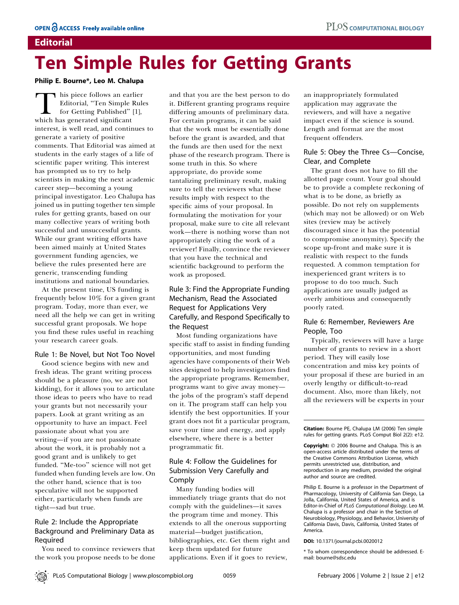# **Editorial**

# Ten Simple Rules for Getting Grants

#### Philip E. Bourne\*, Leo M. Chalupa

This piece follows an earlier<br>Editorial, "Ten Simple Rul<br>for Getting Published" [1],<br>which has generated significant Editorial, ''Ten Simple Rules for Getting Published'' [1], interest, is well read, and continues to generate a variety of positive comments. That Editorial was aimed at students in the early stages of a life of scientific paper writing. This interest has prompted us to try to help scientists in making the next academic career step—becoming a young principal investigator. Leo Chalupa has joined us in putting together ten simple rules for getting grants, based on our many collective years of writing both successful and unsuccessful grants. While our grant writing efforts have been aimed mainly at United States government funding agencies, we believe the rules presented here are generic, transcending funding institutions and national boundaries.

At the present time, US funding is frequently below 10% for a given grant program. Today, more than ever, we need all the help we can get in writing successful grant proposals. We hope you find these rules useful in reaching your research career goals.

#### Rule 1: Be Novel, but Not Too Novel

Good science begins with new and fresh ideas. The grant writing process should be a pleasure (no, we are not kidding), for it allows you to articulate those ideas to peers who have to read your grants but not necessarily your papers. Look at grant writing as an opportunity to have an impact. Feel passionate about what you are writing—if you are not passionate about the work, it is probably not a good grant and is unlikely to get funded. ''Me-too'' science will not get funded when funding levels are low. On the other hand, science that is too speculative will not be supported either, particularly when funds are tight—sad but true.

## Rule 2: Include the Appropriate Background and Preliminary Data as Required

You need to convince reviewers that the work you propose needs to be done

and that you are the best person to do it. Different granting programs require differing amounts of preliminary data. For certain programs, it can be said that the work must be essentially done before the grant is awarded, and that the funds are then used for the next phase of the research program. There is some truth in this. So where appropriate, do provide some tantalizing preliminary result, making sure to tell the reviewers what these results imply with respect to the specific aims of your proposal. In formulating the motivation for your proposal, make sure to cite all relevant work—there is nothing worse than not appropriately citing the work of a reviewer! Finally, convince the reviewer that you have the technical and scientific background to perform the work as proposed.

# Rule 3: Find the Appropriate Funding Mechanism, Read the Associated Request for Applications Very Carefully, and Respond Specifically to the Request

Most funding organizations have specific staff to assist in finding funding opportunities, and most funding agencies have components of their Web sites designed to help investigators find the appropriate programs. Remember, programs want to give away money the jobs of the program's staff depend on it. The program staff can help you identify the best opportunities. If your grant does not fit a particular program, save your time and energy, and apply elsewhere, where there is a better programmatic fit.

## Rule 4: Follow the Guidelines for Submission Very Carefully and Comply

Many funding bodies will immediately triage grants that do not comply with the guidelines—it saves the program time and money. This extends to all the onerous supporting material—budget justification, bibliographies, etc. Get them right and keep them updated for future applications. Even if it goes to review,

an inappropriately formulated application may aggravate the reviewers, and will have a negative impact even if the science is sound. Length and format are the most frequent offenders.

#### Rule 5: Obey the Three Cs—Concise, Clear, and Complete

The grant does not have to fill the allotted page count. Your goal should be to provide a complete reckoning of what is to be done, as briefly as possible. Do not rely on supplements (which may not be allowed) or on Web sites (review may be actively discouraged since it has the potential to compromise anonymity). Specify the scope up-front and make sure it is realistic with respect to the funds requested. A common temptation for inexperienced grant writers is to propose to do too much. Such applications are usually judged as overly ambitious and consequently poorly rated.

# Rule 6: Remember, Reviewers Are People, Too

Typically, reviewers will have a large number of grants to review in a short period. They will easily lose concentration and miss key points of your proposal if these are buried in an overly lengthy or difficult-to-read document. Also, more than likely, not all the reviewers will be experts in your

Citation: Bourne PE, Chalupa LM (2006) Ten simple rules for getting grants. PLoS Comput Biol 2(2): e12.

Copyright:  $©$  2006 Bourne and Chalupa. This is an open-access article distributed under the terms of the Creative Commons Attribution License, which permits unrestricted use, distribution, and reproduction in any medium, provided the original author and source are credited.

Philip E. Bourne is a professor in the Department of Pharmacology, University of California San Diego, La Jolla, California, United States of America, and is Editor-in-Chief of PLoS Computational Biology. Leo M. Chalupa is a professor and chair in the Section of Neurobiology, Physiology, and Behavior, University of California Davis, Davis, California, United States of America.

#### DOI: 10.1371/journal.pcbi.0020012

<sup>\*</sup> To whom correspondence should be addressed. Email: bourne@sdsc.edu